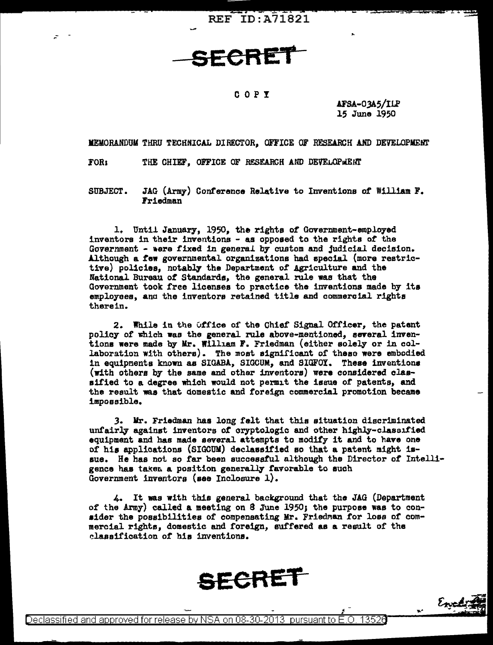**REF ID:A71821** 

SECRET

## COPY

AFSA-03A5/ILP 15 June 1950

Encli

MEMORANDUM THRU TECHNICAL DIRECTOR. OFFICE OF RESEARCH AND DEVELOPMENT

THE CHIEF. OFFICE OF RESEARCH AND DEVELOPMENT FOR:

JAG (Army) Conference Relative to Inventions of William F. SUBJECT. Friedman

1. Until January, 1950, the rights of Government-employed inventors in their inventions - as opposed to the rights of the Government - were fixed in general by custom and judicial decision. Although a few governmental organizations had special (more restrictive) policies, notably the Department of Agriculture and the National Bureau of Standards, the general rule was that the Government took free licenses to practice the inventions made by its employees, and the inventors retained title and commercial rights therein.

2. While in the Office of the Chief Signal Officer, the patent policy of which was the general rule above-mentioned, several inventions were made by Mr. William F. Friedman (either solely or in collaboration with others). The most significant of these were embodied in equipments known as SIGABA, SIGCUM, and SIGFOY. These inventions (with others by the same and other inventors) were considered classified to a degree which would not permit the issue of patents, and the result was that domestic and foreign commercial promotion became impossible.

3. Mr. Friedman has long felt that this situation discriminated unfairly against inventors of cryptologic and other highly-classified equipment and has made several attempts to modify it and to have one of his applications (SIGCUM) declassified so that a patent might issue. He has not so far been successful although the Director of Intelligence has taken a position generally favorable to such Government inventors (see Inclosure 1).

4. It was with this general background that the JAG (Department of the Army) called a meeting on 8 June 1950; the purpose was to consider the possibilities of compensating Mr. Friedman for loss of commercial rights, domestic and foreign, suffered as a result of the classification of his inventions.

SECRET